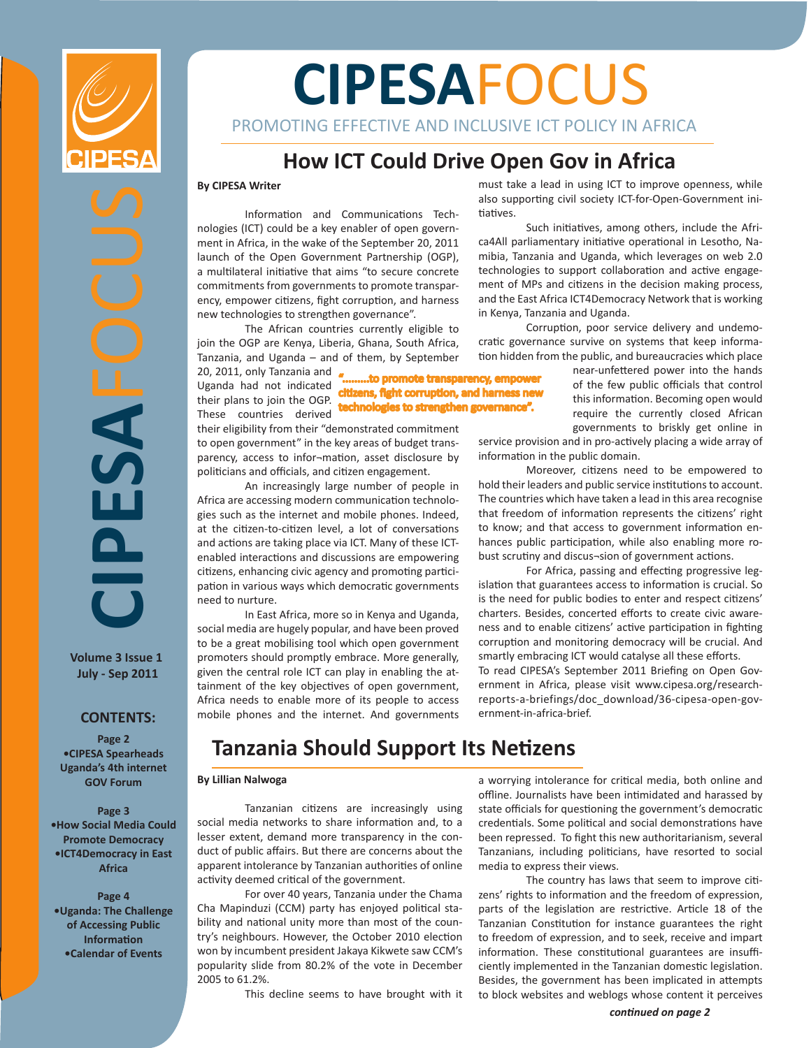

**CIPESA**FOCUS

ASEN

**Volume 3 Issue 1 July - Sep 2011**

**CONTENTS:**

**Page 2 •CIPESA Spearheads Uganda's 4th internet GOV Forum**

**Page 3 •How Social Media Could Promote Democracy •ICT4Democracy in East Africa**

**Page 4 •Uganda: The Challenge of Accessing Public Information •Calendar of Events**

# **CIPESA**FOCUS

PROMOTING EFFECTIVE AND INCLUSIVE ICT POLICY IN AFRICA

# **How ICT Could Drive Open Gov in Africa**

#### **By CIPESA Writer**

Information and Communications Technologies (ICT) could be a key enabler of open government in Africa, in the wake of the September 20, 2011 launch of the Open Government Partnership (OGP), a multilateral initiative that aims "to secure concrete commitments from governments to promote transparency, empower citizens, fight corruption, and harness new technologies to strengthen governance".

The African countries currently eligible to join the OGP are Kenya, Liberia, Ghana, South Africa, Tanzania, and Uganda – and of them, by September

.........to promote transparency, empower Uganda had not indicated **citizens, fight corruption, and harness new** technologies to strengthen governance". 20, 2011, only Tanzania and their plans to join the OGP. These countries derived

their eligibility from their "demonstrated commitment to open government" in the key areas of budget transparency, access to infor¬mation, asset disclosure by politicians and officials, and citizen engagement.

An increasingly large number of people in Africa are accessing modern communication technologies such as the internet and mobile phones. Indeed, at the citizen-to-citizen level, a lot of conversations and actions are taking place via ICT. Many of these ICTenabled interactions and discussions are empowering citizens, enhancing civic agency and promoting participation in various ways which democratic governments need to nurture.

In East Africa, more so in Kenya and Uganda, social media are hugely popular, and have been proved to be a great mobilising tool which open government promoters should promptly embrace. More generally, given the central role ICT can play in enabling the attainment of the key objectives of open government, Africa needs to enable more of its people to access mobile phones and the internet. And governments must take a lead in using ICT to improve openness, while also supporting civil society ICT-for-Open-Government initiatives.

Such initiatives, among others, include the Africa4All parliamentary initiative operational in Lesotho, Namibia, Tanzania and Uganda, which leverages on web 2.0 technologies to support collaboration and active engagement of MPs and citizens in the decision making process, and the East Africa ICT4Democracy Network that is working in Kenya, Tanzania and Uganda.

Corruption, poor service delivery and undemocratic governance survive on systems that keep information hidden from the public, and bureaucracies which place

near-unfettered power into the hands of the few public officials that control this information. Becoming open would require the currently closed African governments to briskly get online in

service provision and in pro-actively placing a wide array of information in the public domain.

Moreover, citizens need to be empowered to hold their leaders and public service institutions to account. The countries which have taken a lead in this area recognise that freedom of information represents the citizens' right to know; and that access to government information enhances public participation, while also enabling more robust scrutiny and discus¬sion of government actions.

For Africa, passing and effecting progressive legislation that guarantees access to information is crucial. So is the need for public bodies to enter and respect citizens' charters. Besides, concerted efforts to create civic awareness and to enable citizens' active participation in fighting corruption and monitoring democracy will be crucial. And smartly embracing ICT would catalyse all these efforts.

To read CIPESA's September 2011 Briefing on Open Government in Africa, please visit www.cipesa.org/researchreports-a-briefings/doc\_download/36-cipesa-open-government-in-africa-brief.

# **Tanzania Should Support Its Netizens**

#### **By Lillian Nalwoga**

Tanzanian citizens are increasingly using social media networks to share information and, to a lesser extent, demand more transparency in the conduct of public affairs. But there are concerns about the apparent intolerance by Tanzanian authorities of online activity deemed critical of the government.

For over 40 years, Tanzania under the Chama Cha Mapinduzi (CCM) party has enjoyed political stability and national unity more than most of the country's neighbours. However, the October 2010 election won by incumbent president Jakaya Kikwete saw CCM's popularity slide from 80.2% of the vote in December 2005 to 61.2%.

This decline seems to have brought with it

a worrying intolerance for critical media, both online and offline. Journalists have been intimidated and harassed by state officials for questioning the government's democratic credentials. Some political and social demonstrations have been repressed. To fight this new authoritarianism, several Tanzanians, including politicians, have resorted to social media to express their views.

The country has laws that seem to improve citizens' rights to information and the freedom of expression, parts of the legislation are restrictive. Article 18 of the Tanzanian Constitution for instance guarantees the right to freedom of expression, and to seek, receive and impart information. These constitutional guarantees are insufficiently implemented in the Tanzanian domestic legislation. Besides, the government has been implicated in attempts to block websites and weblogs whose content it perceives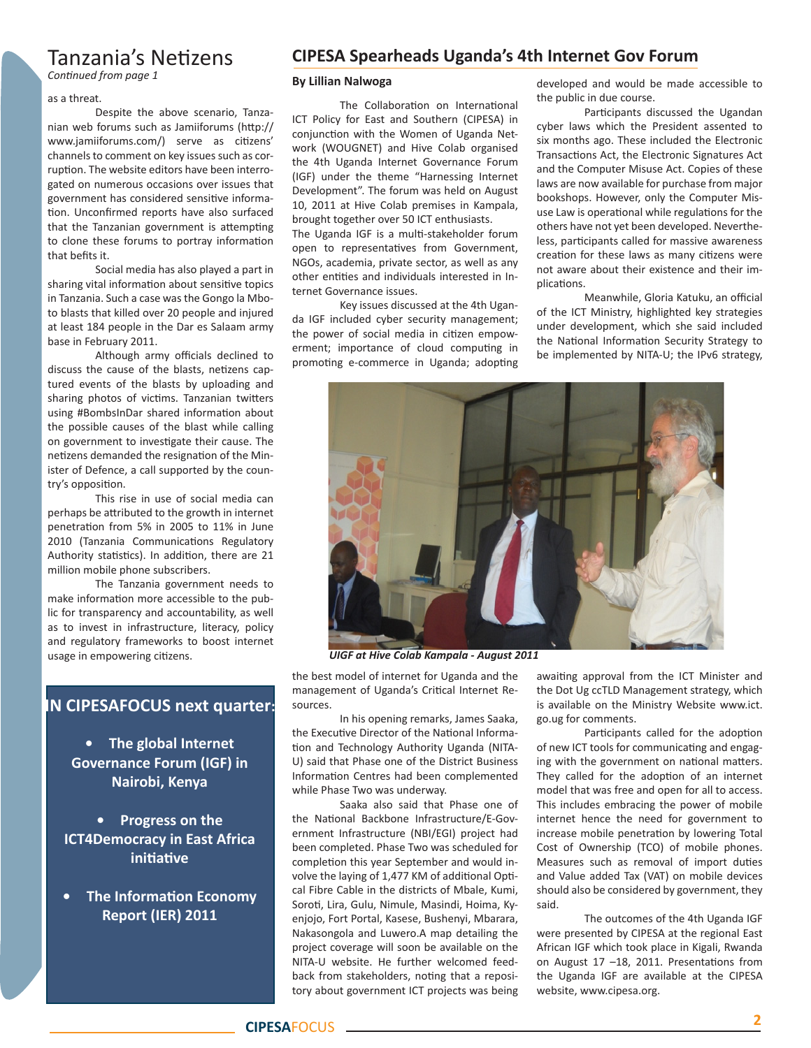## Tanzania's Netizens

*Continued from page 1*

#### as a threat.

Despite the above scenario, Tanzanian web forums such as Jamiiforums (http:// www.jamiiforums.com/) serve as citizens' channels to comment on key issues such as corruption. The website editors have been interrogated on numerous occasions over issues that government has considered sensitive information. Unconfirmed reports have also surfaced that the Tanzanian government is attempting to clone these forums to portray information that befits it.

Social media has also played a part in sharing vital information about sensitive topics in Tanzania. Such a case was the Gongo la Mboto blasts that killed over 20 people and injured at least 184 people in the Dar es Salaam army base in February 2011.

Although army officials declined to discuss the cause of the blasts, netizens captured events of the blasts by uploading and sharing photos of victims. Tanzanian twitters using #BombsInDar shared information about the possible causes of the blast while calling on government to investigate their cause. The netizens demanded the resignation of the Minister of Defence, a call supported by the country's opposition.

This rise in use of social media can perhaps be attributed to the growth in internet penetration from 5% in 2005 to 11% in June 2010 (Tanzania Communications Regulatory Authority statistics). In addition, there are 21 million mobile phone subscribers.

The Tanzania government needs to make information more accessible to the public for transparency and accountability, as well as to invest in infrastructure, literacy, policy and regulatory frameworks to boost internet usage in empowering citizens.

## **IN CIPESAFOCUS next quarter:**

**• The global Internet Governance Forum (IGF) in Nairobi, Kenya**

**• Progress on the ICT4Democracy in East Africa initiative**

**• The Information Economy Report (IER) 2011**

## **CIPESA Spearheads Uganda's 4th Internet Gov Forum**

#### **By Lillian Nalwoga**

The Collaboration on International ICT Policy for East and Southern (CIPESA) in conjunction with the Women of Uganda Network (WOUGNET) and Hive Colab organised the 4th Uganda Internet Governance Forum (IGF) under the theme "Harnessing Internet Development". The forum was held on August 10, 2011 at Hive Colab premises in Kampala, brought together over 50 ICT enthusiasts.

The Uganda IGF is a multi-stakeholder forum open to representatives from Government, NGOs, academia, private sector, as well as any other entities and individuals interested in Internet Governance issues.

Key issues discussed at the 4th Uganda IGF included cyber security management; the power of social media in citizen empowerment; importance of cloud computing in promoting e-commerce in Uganda; adopting

developed and would be made accessible to the public in due course.

Participants discussed the Ugandan cyber laws which the President assented to six months ago. These included the Electronic Transactions Act, the Electronic Signatures Act and the Computer Misuse Act. Copies of these laws are now available for purchase from major bookshops. However, only the Computer Misuse Law is operational while regulations for the others have not yet been developed. Nevertheless, participants called for massive awareness creation for these laws as many citizens were not aware about their existence and their implications.

Meanwhile, Gloria Katuku, an official of the ICT Ministry, highlighted key strategies under development, which she said included the National Information Security Strategy to be implemented by NITA-U; the IPv6 strategy,



*UIGF at Hive Colab Kampala - August 2011*

the best model of internet for Uganda and the management of Uganda's Critical Internet Resources.

In his opening remarks, James Saaka, the Executive Director of the National Information and Technology Authority Uganda (NITA-U) said that Phase one of the District Business Information Centres had been complemented while Phase Two was underway.

Saaka also said that Phase one of the National Backbone Infrastructure/E-Government Infrastructure (NBI/EGI) project had been completed. Phase Two was scheduled for completion this year September and would involve the laying of 1,477 KM of additional Optical Fibre Cable in the districts of Mbale, Kumi, Soroti, Lira, Gulu, Nimule, Masindi, Hoima, Kyenjojo, Fort Portal, Kasese, Bushenyi, Mbarara, Nakasongola and Luwero.A map detailing the project coverage will soon be available on the NITA-U website. He further welcomed feedback from stakeholders, noting that a repository about government ICT projects was being

awaiting approval from the ICT Minister and the Dot Ug ccTLD Management strategy, which is available on the Ministry Website www.ict. go.ug for comments.

Participants called for the adoption of new ICT tools for communicating and engaging with the government on national matters. They called for the adoption of an internet model that was free and open for all to access. This includes embracing the power of mobile internet hence the need for government to increase mobile penetration by lowering Total Cost of Ownership (TCO) of mobile phones. Measures such as removal of import duties and Value added Tax (VAT) on mobile devices should also be considered by government, they said.

The outcomes of the 4th Uganda IGF were presented by CIPESA at the regional East African IGF which took place in Kigali, Rwanda on August 17 –18, 2011. Presentations from the Uganda IGF are available at the CIPESA website, www.cipesa.org.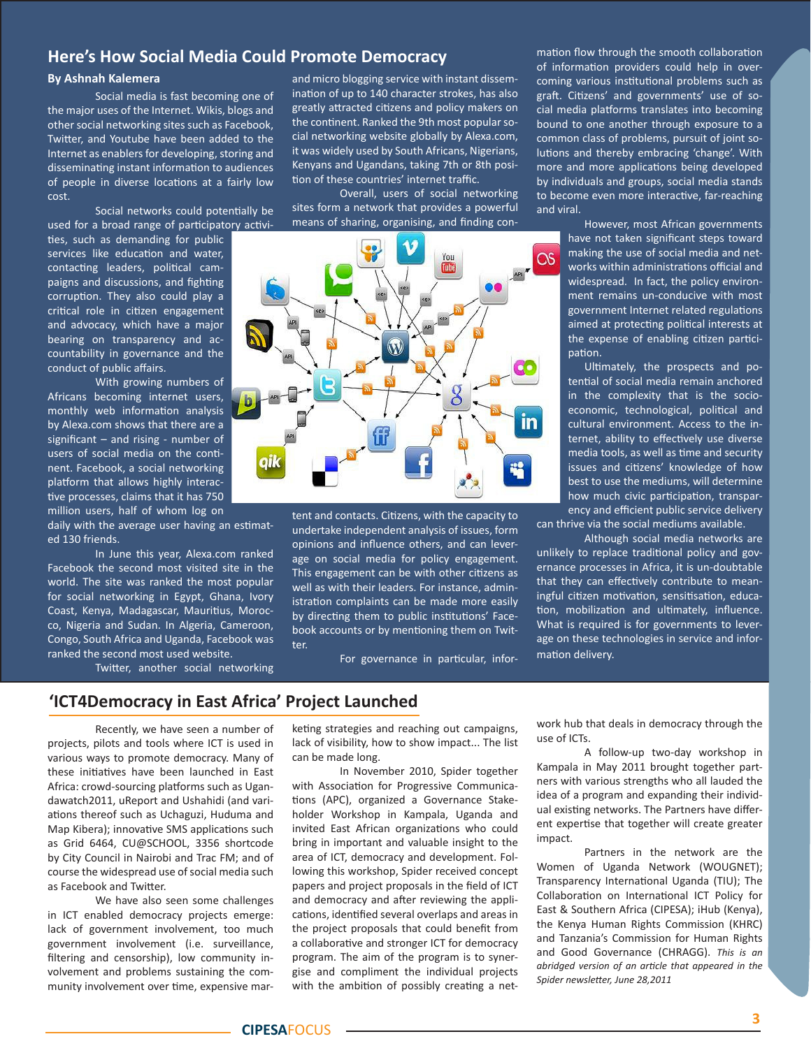### **Here's How Social Media Could Promote Democracy**

#### **By Ashnah Kalemera**

Social media is fast becoming one of the major uses of the Internet. Wikis, blogs and other social networking sites such as Facebook, Twitter, and Youtube have been added to the Internet as enablers for developing, storing and disseminating instant information to audiences of people in diverse locations at a fairly low cost.

Social networks could potentially be used for a broad range of participatory activi-

ties, such as demanding for public services like education and water, contacting leaders, political campaigns and discussions, and fighting corruption. They also could play a critical role in citizen engagement and advocacy, which have a major bearing on transparency and accountability in governance and the conduct of public affairs.

With growing numbers of Africans becoming internet users, monthly web information analysis by Alexa.com shows that there are a significant  $-$  and rising - number of users of social media on the continent. Facebook, a social networking platform that allows highly interactive processes, claims that it has 750 million users, half of whom log on

daily with the average user having an estimated 130 friends.

In June this year, Alexa.com ranked Facebook the second most visited site in the world. The site was ranked the most popular for social networking in Egypt, Ghana, Ivory Coast, Kenya, Madagascar, Mauritius, Morocco, Nigeria and Sudan. In Algeria, Cameroon, Congo, South Africa and Uganda, Facebook was ranked the second most used website.

Twitter, another social networking

## **'ICT4Democracy in East Africa' Project Launched**

Recently, we have seen a number of projects, pilots and tools where ICT is used in various ways to promote democracy. Many of these initiatives have been launched in East Africa: crowd-sourcing platforms such as Ugandawatch2011, uReport and Ushahidi (and variations thereof such as Uchaguzi, Huduma and Map Kibera); innovative SMS applications such as Grid 6464, CU@SCHOOL, 3356 shortcode by City Council in Nairobi and Trac FM; and of course the widespread use of social media such as Facebook and Twitter.

We have also seen some challenges in ICT enabled democracy projects emerge: lack of government involvement, too much government involvement (i.e. surveillance, filtering and censorship), low community involvement and problems sustaining the community involvement over time, expensive marand micro blogging service with instant dissemination of up to 140 character strokes, has also greatly attracted citizens and policy makers on the continent. Ranked the 9th most popular social networking website globally by Alexa.com, it was widely used by South Africans, Nigerians, Kenyans and Ugandans, taking 7th or 8th position of these countries' internet traffic.

Overall, users of social networking sites form a network that provides a powerful means of sharing, organising, and finding con-



tent and contacts. Citizens, with the capacity to undertake independent analysis of issues, form opinions and influence others, and can leverage on social media for policy engagement. This engagement can be with other citizens as well as with their leaders. For instance, administration complaints can be made more easily by directing them to public institutions' Facebook accounts or by mentioning them on Twitter.

For governance in particular, infor-

mation flow through the smooth collaboration of information providers could help in overcoming various institutional problems such as graft. Citizens' and governments' use of social media platforms translates into becoming bound to one another through exposure to a common class of problems, pursuit of joint solutions and thereby embracing 'change'. With more and more applications being developed by individuals and groups, social media stands to become even more interactive, far-reaching and viral.

> However, most African governments have not taken significant steps toward making the use of social media and networks within administrations official and widespread. In fact, the policy environment remains un-conducive with most government Internet related regulations aimed at protecting political interests at the expense of enabling citizen participation.

> Ultimately, the prospects and potential of social media remain anchored in the complexity that is the socioeconomic, technological, political and cultural environment. Access to the internet, ability to effectively use diverse media tools, as well as time and security issues and citizens' knowledge of how best to use the mediums, will determine how much civic participation, transparency and efficient public service delivery

can thrive via the social mediums available.

Although social media networks are unlikely to replace traditional policy and governance processes in Africa, it is un-doubtable that they can effectively contribute to meaningful citizen motivation, sensitisation, education, mobilization and ultimately, influence. What is required is for governments to leverage on these technologies in service and information delivery.

keting strategies and reaching out campaigns, lack of visibility, how to show impact... The list can be made long.

In November 2010, Spider together with Association for Progressive Communications (APC), organized a Governance Stakeholder Workshop in Kampala, Uganda and invited East African organizations who could bring in important and valuable insight to the area of ICT, democracy and development. Following this workshop, Spider received concept papers and project proposals in the field of ICT and democracy and after reviewing the applications, identified several overlaps and areas in the project proposals that could benefit from a collaborative and stronger ICT for democracy program. The aim of the program is to synergise and compliment the individual projects with the ambition of possibly creating a network hub that deals in democracy through the use of ICTs.

A follow-up two-day workshop in Kampala in May 2011 brought together partners with various strengths who all lauded the idea of a program and expanding their individual existing networks. The Partners have different expertise that together will create greater impact.

Partners in the network are the Women of Uganda Network (WOUGNET); Transparency International Uganda (TIU); The Collaboration on International ICT Policy for East & Southern Africa (CIPESA); iHub (Kenya), the Kenya Human Rights Commission (KHRC) and Tanzania's Commission for Human Rights and Good Governance (CHRAGG). *This is an abridged version of an article that appeared in the Spider newsletter, June 28,2011*